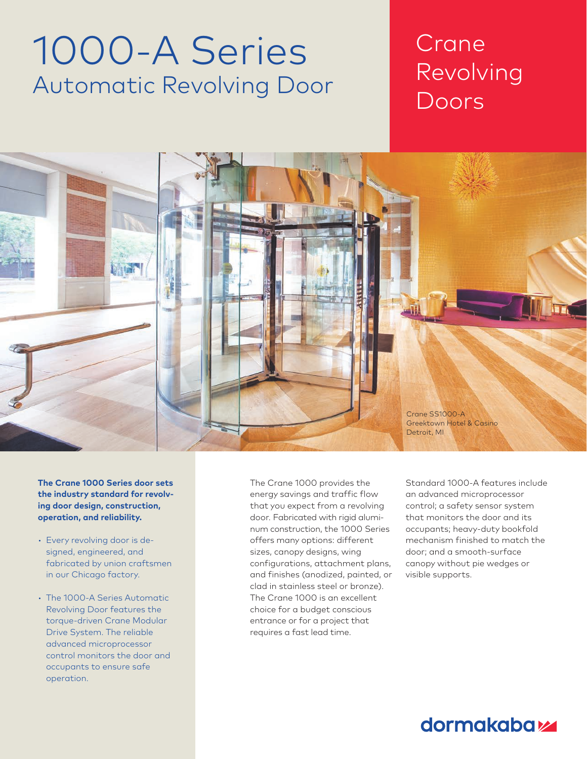# 1000-A Series Automatic Revolving Door

## Crane Revolving Doors

Chapter Title Section Title



**The Crane 1000 Series door sets the industry standard for revolving door design, construction, operation, and reliability.** 

- Every revolving door is designed, engineered, and fabricated by union craftsmen in our Chicago factory.
- The 1000-A Series Automatic Revolving Door features the torque-driven Crane Modular Drive System. The reliable advanced microprocessor control monitors the door and occupants to ensure safe operation.

The Crane 1000 provides the energy savings and traffic flow that you expect from a revolving door. Fabricated with rigid aluminum construction, the 1000 Series offers many options: different sizes, canopy designs, wing configurations, attachment plans, and finishes (anodized, painted, or clad in stainless steel or bronze). The Crane 1000 is an excellent choice for a budget conscious entrance or for a project that requires a fast lead time.

Standard 1000-A features include an advanced microprocessor control; a safety sensor system that monitors the door and its occupants; heavy-duty bookfold mechanism finished to match the door; and a smooth-surface canopy without pie wedges or visible supports.

### **dormakabazz**